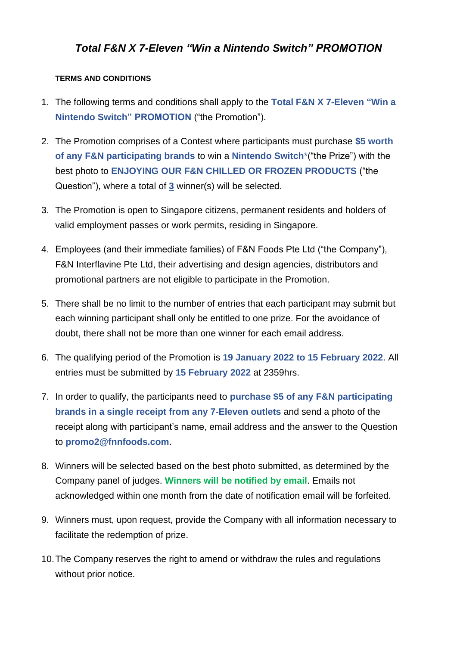## *Total F&N X 7-Eleven "Win a Nintendo Switch" PROMOTION*

## **TERMS AND CONDITIONS**

- 1. The following terms and conditions shall apply to the **Total F&N X 7-Eleven "Win a Nintendo Switch" PROMOTION** ("the Promotion").
- 2. The Promotion comprises of a Contest where participants must purchase **\$5 worth of any F&N participating brands** to win a **Nintendo Switch**\*("the Prize") with the best photo to **ENJOYING OUR F&N CHILLED OR FROZEN PRODUCTS** ("the Question"), where a total of **3** winner(s) will be selected.
- 3. The Promotion is open to Singapore citizens, permanent residents and holders of valid employment passes or work permits, residing in Singapore.
- 4. Employees (and their immediate families) of F&N Foods Pte Ltd ("the Company"), F&N Interflavine Pte Ltd, their advertising and design agencies, distributors and promotional partners are not eligible to participate in the Promotion.
- 5. There shall be no limit to the number of entries that each participant may submit but each winning participant shall only be entitled to one prize. For the avoidance of doubt, there shall not be more than one winner for each email address.
- 6. The qualifying period of the Promotion is **19 January 2022 to 15 February 2022**. All entries must be submitted by **15 February 2022** at 2359hrs.
- 7. In order to qualify, the participants need to **purchase \$5 of any F&N participating brands in a single receipt from any 7-Eleven outlets** and send a photo of the receipt along with participant's name, email address and the answer to the Question to **promo2@fnnfoods.com**.
- 8. Winners will be selected based on the best photo submitted, as determined by the Company panel of judges. **Winners will be notified by email**. Emails not acknowledged within one month from the date of notification email will be forfeited.
- 9. Winners must, upon request, provide the Company with all information necessary to facilitate the redemption of prize.
- 10.The Company reserves the right to amend or withdraw the rules and regulations without prior notice.